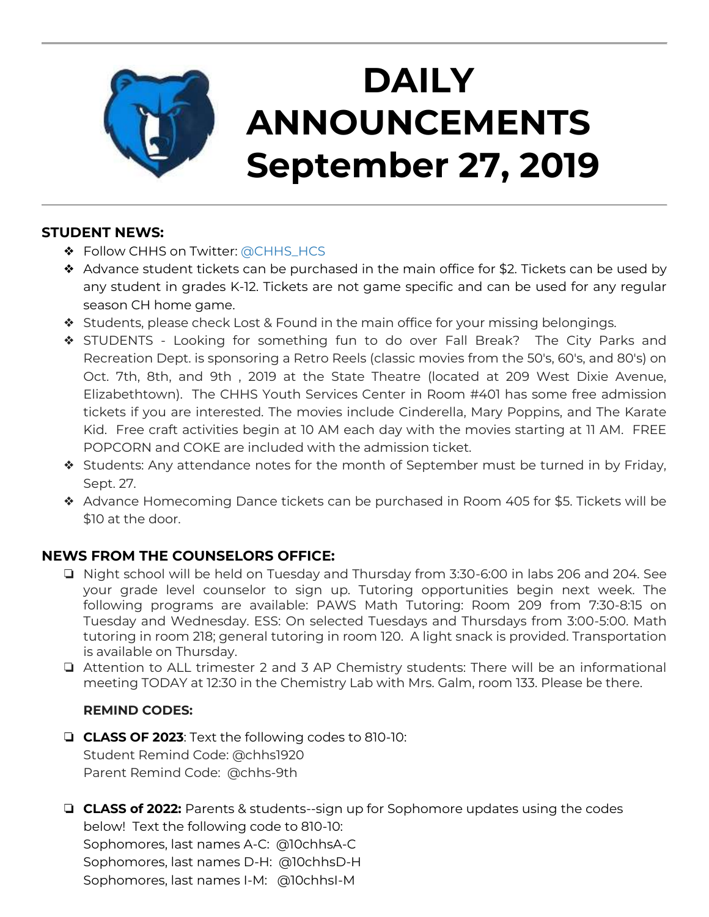

# **DAILY ANNOUNCEMENTS September 27, 2019**

### **STUDENT NEWS:**

- ❖ Follow CHHS on Twitter: [@CHHS\\_HCS](https://twitter.com/CHHS_HCS)
- ❖ Advance student tickets can be purchased in the main office for \$2. Tickets can be used by any student in grades K-12. Tickets are not game specific and can be used for any regular season CH home game.
- ❖ Students, please check Lost & Found in the main office for your missing belongings.
- ❖ STUDENTS Looking for something fun to do over Fall Break? The City Parks and Recreation Dept. is sponsoring a Retro Reels (classic movies from the 50's, 60's, and 80's) on Oct. 7th, 8th, and 9th , 2019 at the State Theatre (located at 209 West Dixie Avenue, Elizabethtown). The CHHS Youth Services Center in Room #401 has some free admission tickets if you are interested. The movies include Cinderella, Mary Poppins, and The Karate Kid. Free craft activities begin at 10 AM each day with the movies starting at 11 AM. FREE POPCORN and COKE are included with the admission ticket.
- ❖ Students: Any attendance notes for the month of September must be turned in by Friday, Sept. 27.
- ❖ Advance Homecoming Dance tickets can be purchased in Room 405 for \$5. Tickets will be \$10 at the door.

### **NEWS FROM THE COUNSELORS OFFICE:**

- ❏ Night school will be held on Tuesday and Thursday from 3:30-6:00 in labs 206 and 204. See your grade level counselor to sign up. Tutoring opportunities begin next week. The following programs are available: PAWS Math Tutoring: Room 209 from 7:30-8:15 on Tuesday and Wednesday. ESS: On selected Tuesdays and Thursdays from 3:00-5:00. Math tutoring in room 218; general tutoring in room 120. A light snack is provided. Transportation is available on Thursday.
- ❏ Attention to ALL trimester 2 and 3 AP Chemistry students: There will be an informational meeting TODAY at 12:30 in the Chemistry Lab with Mrs. Galm, room 133. Please be there.

#### **REMIND CODES:**

- ❏ **CLASS OF 2023**: Text the following codes to 810-10: Student Remind Code: @chhs1920 Parent Remind Code: @chhs-9th
- ❏ **CLASS of 2022:** Parents & students--sign up for Sophomore updates using the codes below! Text the following code to 810-10: Sophomores, last names A-C: @10chhsA-C Sophomores, last names D-H: @10chhsD-H Sophomores, last names I-M: @10chhsI-M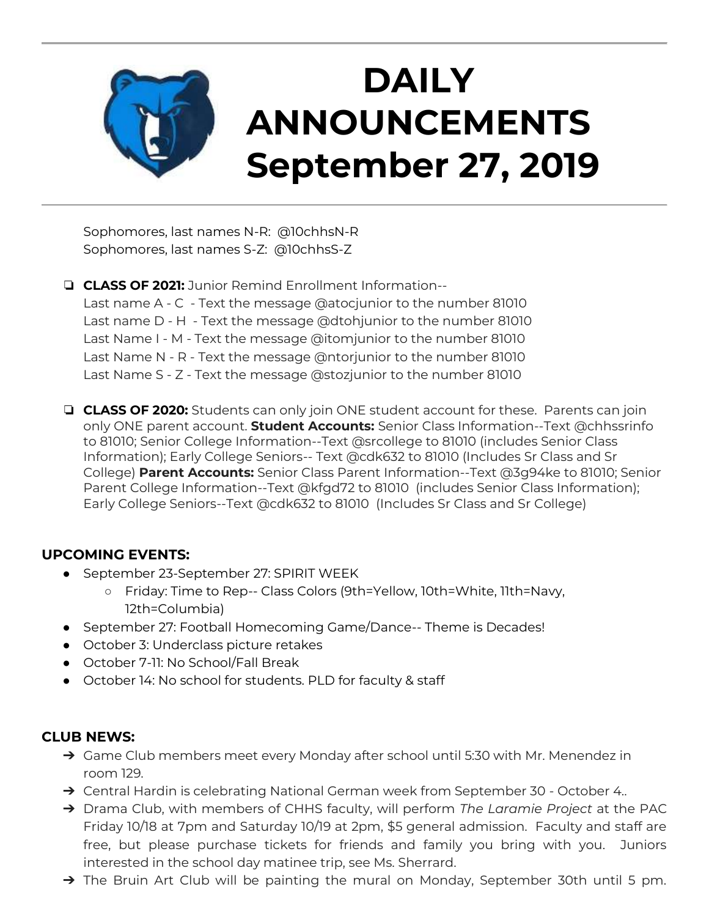

Sophomores, last names N-R: @10chhsN-R Sophomores, last names S-Z: @10chhsS-Z

❏ **CLASS OF 2021:** Junior Remind Enrollment Information-- Last name A - C - Text the message @atocjunior to the number 81010 Last name D - H - Text the message @dtohjunior to the number 81010 Last Name I - M - Text the message @itomjunior to the number 81010 Last Name N - R - Text the message @ntorjunior to the number 81010 Last Name S - Z - Text the message @stozjunior to the number 81010

❏ **CLASS OF 2020:** Students can only join ONE student account for these. Parents can join only ONE parent account. **Student Accounts:** Senior Class Information--Text @chhssrinfo to 81010; Senior College Information--Text @srcollege to 81010 (includes Senior Class Information); Early College Seniors-- Text @cdk632 to 81010 (Includes Sr Class and Sr College) **Parent Accounts:** Senior Class Parent Information--Text @3g94ke to 81010; Senior Parent College Information--Text @kfgd72 to 81010 (includes Senior Class Information); Early College Seniors--Text @cdk632 to 81010 (Includes Sr Class and Sr College)

#### **UPCOMING EVENTS:**

- September 23-September 27: SPIRIT WEEK
	- Friday: Time to Rep-- Class Colors (9th=Yellow, 10th=White, 11th=Navy, 12th=Columbia)
- September 27: Football Homecoming Game/Dance-- Theme is Decades!
- October 3: Underclass picture retakes
- October 7-11: No School/Fall Break
- October 14: No school for students. PLD for faculty & staff

#### **CLUB NEWS:**

- → Game Club members meet every Monday after school until 5:30 with Mr. Menendez in room 129.
- → Central Hardin is celebrating National German week from September 30 October 4..
- ➔ Drama Club, with members of CHHS faculty, will perform *The Laramie Project* at the PAC Friday 10/18 at 7pm and Saturday 10/19 at 2pm, \$5 general admission. Faculty and staff are free, but please purchase tickets for friends and family you bring with you. Juniors interested in the school day matinee trip, see Ms. Sherrard.
- → The Bruin Art Club will be painting the mural on Monday, September 30th until 5 pm.